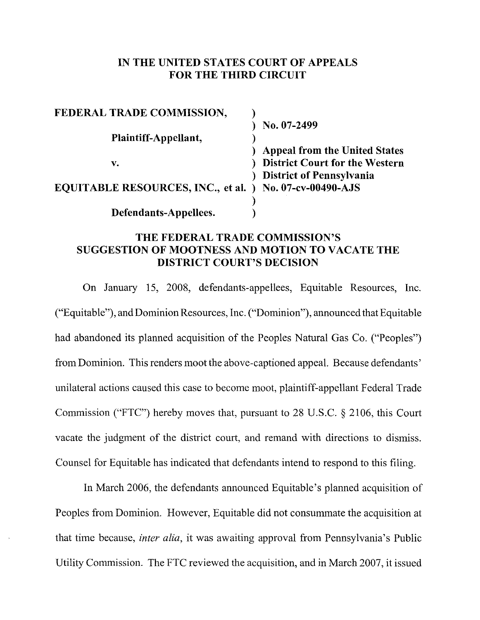### **IN THE UNITED STATES COURT OF APPEALS FOR THE THIRD CIRCUIT**

| FEDERAL TRADE COMMISSION,                                      |                                       |
|----------------------------------------------------------------|---------------------------------------|
|                                                                | No. 07-2499                           |
| Plaintiff-Appellant,                                           |                                       |
|                                                                | <b>Appeal from the United States</b>  |
| v.                                                             | <b>District Court for the Western</b> |
|                                                                | <b>District of Pennsylvania</b>       |
| <b>EQUITABLE RESOURCES, INC., et al. ) No. 07-cv-00490-AJS</b> |                                       |
|                                                                |                                       |
| Defendants-Appellees.                                          |                                       |

### **THE FEDERAL TRADE COMMISSION'S SUGGESTION OF MOOTNESS AND MOTION TO VACATE THE DISTRICT COURT'S DECISION**

On January 15, 2008, defendants-appellees, Equitable Resources, Inc. ("Equitable"), and Dominion Resources, Inc. ("Dominion"), announced that Equitable had abandoned its planned acquisition of the Peoples Natural Gas Co. ("Peoples") from Dominion. This renders moot the above-captioned appeal. Because defendants' unilateral actions caused this case to become moot, plaintiff-appellant Federal Trade Commission ("FTC") hereby moves that, pursuant to 28 U.S.C. § 2106, this Court vacate the judgment of the district court, and remand with directions to dismiss. Counsel for Equitable has indicated that defendants intend to respond to this filing.

In March 2006, the defendants announced Equitable's planned acquisition of Peoples from Dominion. However, Equitable did not consummate the acquisition at that time because, *inter alia,* it was awaiting approval from Pennsylvania's Public Utility Commission. The FTC reviewed the acquisition, and in March 2007, it issued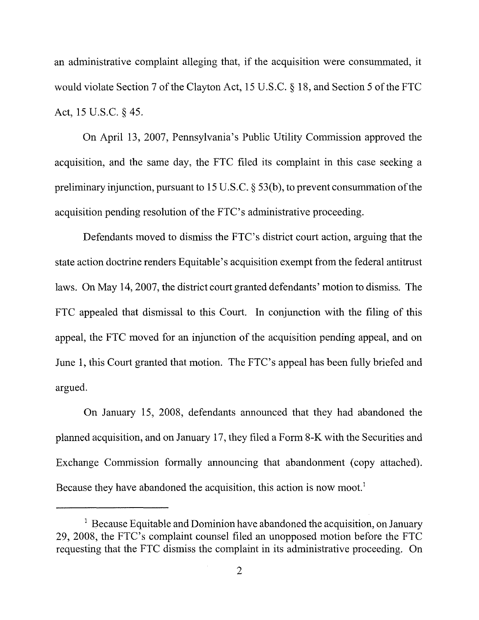an administrative complaint alleging that, if the acquisition were consummated, it would violate Section 7 of the Clayton Act, 15 U.S.C.  $\S$  18, and Section 5 of the FTC Act, 15 U.S.C. § 45.

On April 13, 2007, Pennsylvania's Public Utility Commission approved the acquisition, and the same day, the FTC filed its complaint in this case seeking a preliminary injunction, pursuant to  $15$  U.S.C. § 53(b), to prevent consummation of the acquisition pending resolution of the FTC's administrative proceeding.

Defendants moved to dismiss the FTC's district court action, arguing that the state action doctrine renders Equitable's acquisition exempt from the federal antitrust laws. On May 14,2007, the district court granted defendants' motion to dismiss. The FTC appealed that dismissal to this Court. In conjunction with the filing of this appeal, the FTC moved for an injunction of the acquisition pending appeal, and on June 1, this Court granted that motion. The FTC's appeal has been fully briefed and argued.

On January 15, 2008, defendants announced that they had abandoned the planned acquisition, and on January 17, they filed a Form 8-K with the Securities and Exchange Commission formally announcing that abandonment (copy attached). Because they have abandoned the acquisition, this action is now moot.'

 $1$  Because Equitable and Dominion have abandoned the acquisition, on January 29, 2008, the FTC's complaint counsel filed an unopposed motion before the FTC requesting that the FTC dismiss the complaint in its administrative proceeding. On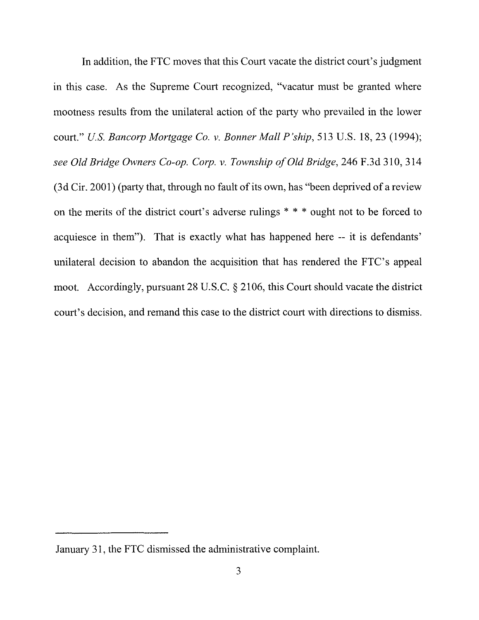In addition, the FTC moves that this Court vacate the district court's judgment in this case. As the Supreme Court recognized, "vacatur must be granted where mootness results from the unilateral action of the party who prevailed in the lower court." *u.s. Bancorp Mortgage Co. v. Bonner Mall P'ship,* 513 U.S. 18,23 (1994); see Old Bridge Owners Co-op. Corp. v. Township of Old Bridge, 246 F.3d 310, 314 (3d Cir. 2001) (party that, through no fault of its own, has "been deprived of a review on the merits of the district court's adverse rulings \* \* \* ought not to be forced to acquiesce in them"). That is exactly what has happened here -- it is defendants' unilateral decision to abandon the acquisition that has rendered the FTC's appeal moot. Accordingly, pursuant 28 U.S.C. § 2106, this Court should vacate the district court's decision, and remand this case to the district court with directions to dismiss.

January 31, the FTC dismissed the administrative complaint.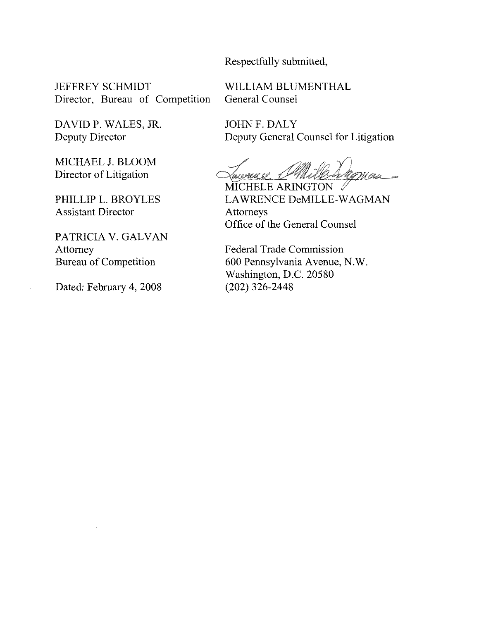Respectfully submitted,

JEFFREY SCHMIDT Director, Bureau of Competition WILLIAM BLUMENTHAL General Counsel

DAVID P. WALES, JR. Deputy Director

MICHAEL J. BLOOM Director of Litigation

PHILLIP L. BROYLES Assistant Director

PATRICIA V. GALVAN Attorney Bureau of Competition

Dated: February 4, 2008

JOHN F. DALY Deputy General Counsel for Litigation

Tauruce Milleragnan <u>Xanerall (P'INaUlS A</u>ri<br>MICHELE ARINGTON

LAWRENCE DeMlLLE-WAGMAN Attorneys Office of the General Counsel

Federal Trade Commission 600 Pennsylvania Avenue, N.W. Washington, D.C. 20580 (202) 326-2448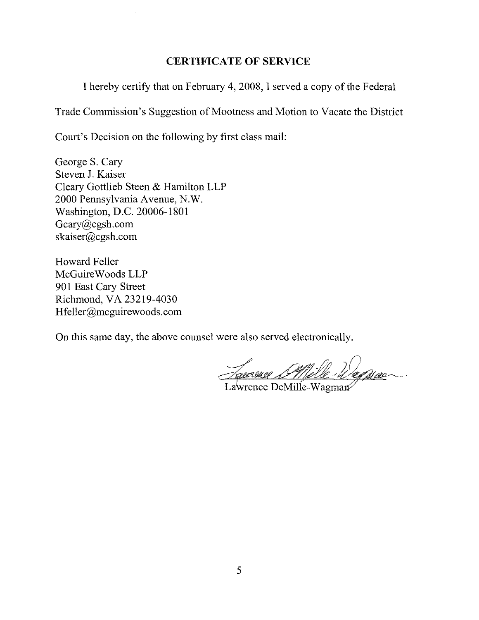### **CERTIFICATE OF SERVICE**

I hereby certify that on February 4,2008, I served a copy of the Federal

Trade Commission's Suggestion of Mootness and Motion to Vacate the District

Court's Decision on the following by first class mail:

George S. Cary Steven J. Kaiser Cleary Gottlieb Steen & Hamilton LLP 2000 Pennsylvania Avenue, N.W. Washington, D.C. 20006-1801 Gcary@cgsh.com skaiser@cgsh.com

Howard Feller McGuireWoods LLP 901 East Cary Street Richmond, **VA** 23219-4030 Hfeller@mcguirewoods.com

On this same day, the above counsel were also served electronically.

. manne D'Mèlle Wenne

Lawrence DeMille-Wagman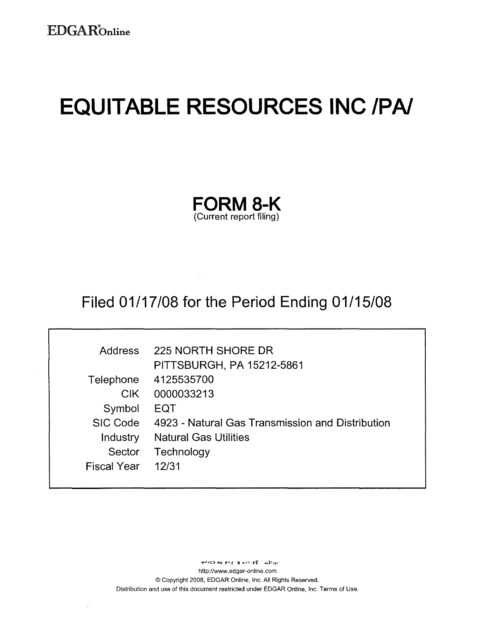Г

# **EQUITABLE RESOURCES INC IPAI**

|                         | <b>FORM 8-K</b> |
|-------------------------|-----------------|
| (Current report filing) |                 |

## Filed 01/17/08 for the Period Ending 01/15/08

| <b>Address</b>     | 225 NORTH SHORE DR                                        |
|--------------------|-----------------------------------------------------------|
|                    | <b>PITTSBURGH, PA 15212-5861</b>                          |
|                    | Telephone 4125535700                                      |
|                    | CIK 0000033213                                            |
| Symbol             | EQT                                                       |
|                    | SIC Code 4923 - Natural Gas Transmission and Distribution |
| <b>Industry</b>    | <b>Natural Gas Utilities</b>                              |
| Sector             | Technology                                                |
| <b>Fiscal Year</b> | 12/31                                                     |
|                    |                                                           |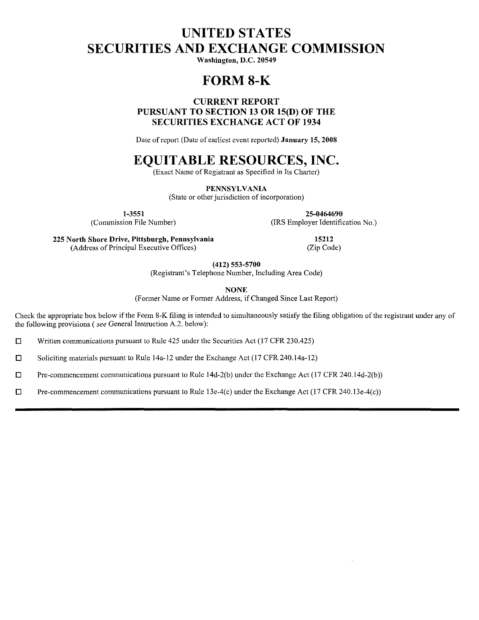### **UNITED STATES SECURITIES AND EXCHANGE COMMISSION**

**Washington, D.C. 20549** 

### **FORM8-K**

### **CURRENT REPORT PURSUANT TO SECTION 13 OR 15(D) OF THE SECURITIES EXCHANGE ACT OF 1934**

Date of report (Date of earliest event reported) **January 15, 2008** 

### **EQUITABLE RESOURCES, INC.**

(Exact Name of Registrant as Specified in Its Charter)

**PENNSYLVANIA** (State or other jurisdiction of incorporation)

**1-3551 25-0464690**  (Connnission File Number) (IRS Employer Identification No.)

**225 North Shore Drive,** Pittsburgh, **Pennsylvania 15212** (Address of Principal Execntive Offices) (Zip Code)

**(412) 553-5700** 

(Registrant's Telephone Number, Inclnding Area Code)

**NONE** 

(Former Name or Former Address, if Changed Since Last Report)

Check the appropriate box below if the Form 8-K filing is intended to simultaneonsly satisfy the filing obligation of the registrant under any of the following provisions *(see* General Instruction A.2. below):

 $\Box$  Written communications pursuant to Rule 425 under the Securities Act (17 CFR 230.425)

 $\Box$  Soliciting materials pursuant to Rule 14a-12 under the Exchange Act (17 CFR 240.14a-12)

 $\Box$  Pre-commencement communications pursuant to Rule 14d-2(b) under the Exchange Act (17 CFR 240.14d-2(b))

 $\square$  Pre-commencement communications pursuant to Rule 13e-4(c) under the Exchange Act (17 CFR 240.13e-4(c))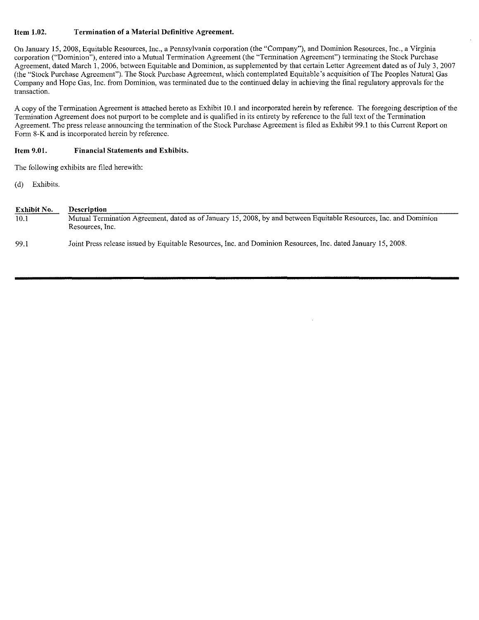#### Item 1.02. **Termination of a Material Definitive Agreement.**

On January 15,2008, Equitable Resources, Inc., a Pennsylvania corporation (the "Company"), and Dominion Resources, Inc., a Virginia corporation ("Dominion"), entered into a Mutual Termination Agreement (the "Termination Agreement") terminating the Stock Purchase Agreement. dated March I. 2006, between Equitable and Dominion, as supplemented by that certain Letter Agreement dated as of July 3, 2007 (the "Stock Purchase Agreement"). The Stock Purchase Agreement, which contemplated Equitable's acquisition ofThe Peoples Natural Gas Company and Hope Gas, Inc. from Dominion, was terminated due to the continued delay in achieving the final regulatory approvals for the transaction.

A copy of the Termination Agreement is attached hereto as Exhibit 10.1 and incorporated herein by reference. The foregoing description of the Termination Agreement does not purport to be complete and is qualified in its entirety by reference to the full text of the Termination Agreement. The press release announcing the termination of the Stock Purchase Agreement is filed as Exhibit 99.1 to this Current Report on Form 8-K and is incorporated herein by reference.

#### Item 9.01. **Financial Statements and Exhibits.**

The following exhibits are filed herewith:

(d) Exhibits.

| Exhibit No. | <b>Description</b>                                                                                                                   |
|-------------|--------------------------------------------------------------------------------------------------------------------------------------|
| 10.1        | Mutual Termination Agreement, dated as of January 15, 2008, by and between Equitable Resources, Inc. and Dominion<br>Resources, Inc. |
| 99.1        | Joint Press release issued by Equitable Resources, Inc. and Dominion Resources, Inc. dated January 15, 2008.                         |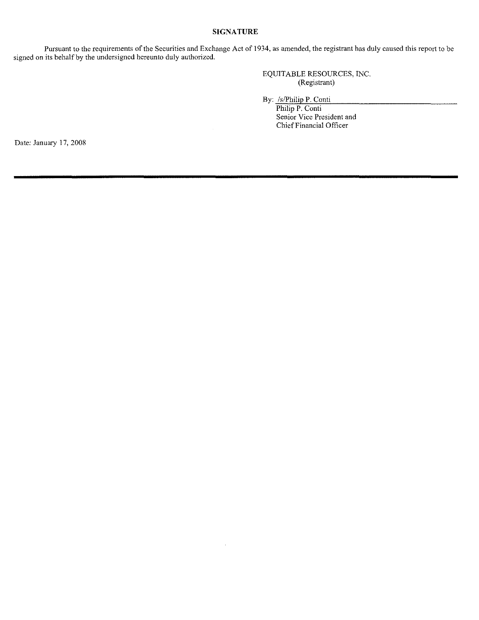### **SIGNATURE**

**Pursuant to the requirements of the Securities and Exchange Act of 1934, as amended, the registrant has duly caused this report to be**  signed on its behalf by the undersigned hereunto duly authorized.

> EQUITABLE RESOURCES, INC. (Registrant)

By: /s/Philip P. Conti

Philip P. Conti **Senior Vice President and**  Chief Financial Officer

Date: January 17, 2008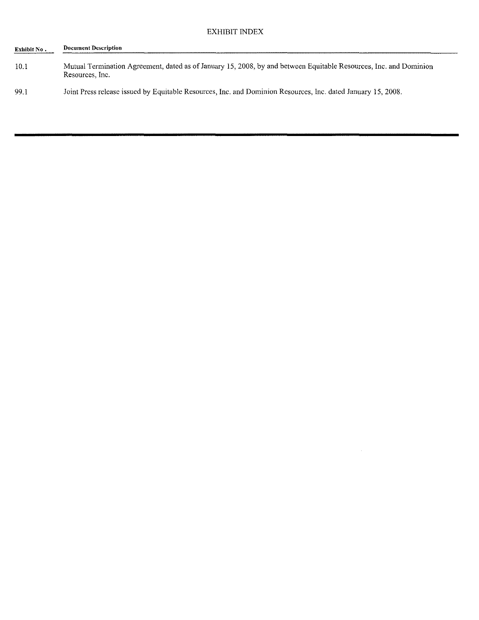| Exhibit No . | <b>Document Description</b>                                                                                                          |
|--------------|--------------------------------------------------------------------------------------------------------------------------------------|
| 10.1         | Mutual Termination Agreement, dated as of January 15, 2008, by and between Equitable Resources, Inc. and Dominion<br>Resources, Inc. |
| 99.1         | Joint Press release issued by Equitable Resources, Inc. and Dominion Resources, Inc. dated January 15, 2008.                         |

 $\sim 10^{-10}$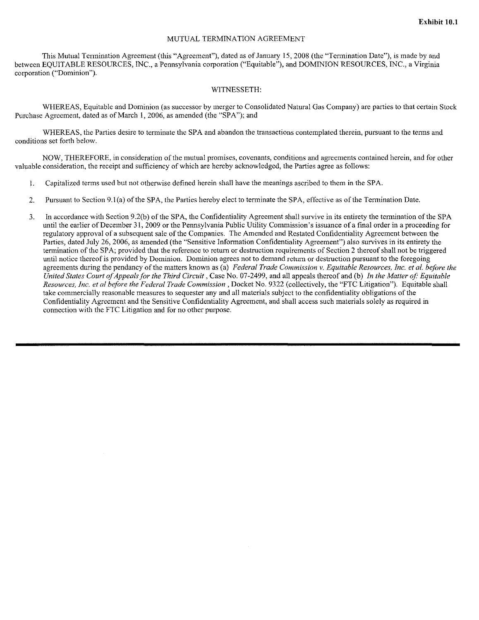### MUTUAL TERMINATION AGREEMENT

This Mutual Termination Agreement (this "Agreement"), dated as ofJanuary 15,2008 (the "Termination Date"), is made by and between EQUITABLE RESOURCES, INC., a Pennsylvania corporation ("Equitable"), and DOMINION RESOURCES, INC., a Virginia **corporation ("Dominion").** 

#### WITNESSETH:

WHEREAS, Equitable and Dominion (as successor by merger to Consolidated Natural Gas Company) are parties to that certain Stock Purchase Agreement, dated as of March 1,2006, as amended (the "SPA"); and

WHEREAS, the Parties desire to terminate the SPA and abandon the transactions contemplated therein, pursuant to the terms and **conditions set forth below.** 

**NOW, THEREFORE, in consideration of the mutual promises, covenants, conditions and agreementscontained herein, and for other**  valuable consideration, the receipt and sufficiency of which are hereby acknowledged, the Parties agree as follows:

- **1. Capitalized terms used but not otherwise defined herein shall have the meanings ascribed to them in the SPA.**
- 2. Pursuant to Section 9.1(a) of the SPA, the Parties hereby elect to terminate the SPA, effective as of the Termination Date.
- 3. In accordance with Section 9.2(b) of the SPA, the Confidentiality Agreement shall survive in its entirety the termination ofthe SPA **untilthe earlier**ofDecember **31, 2009 or the Pennsylvania Public Utility Commission's issuance of a final orderin a proceeding for**  regulatory approval of a subsequent sale of the Companies. The Amended and Restated Confidentiality Agreement between the Parties, dated July 26, 2006, as amended (the "Sensitive Information Confidentiality Agreement") also survives in its entirety the termination of the SPA; provided that the reference to return or destruction requirements of Section 2 thereof shall not be triggered **until notice thereof is providedby Dominion. Dominion agrees not to demandreturn or destruction pursuant to the foregoing**  agreements during the pendancy of the matters known as (a) *Federal Trade Commission v. Equitable Resources, Inc. et al. before the United States Court of Appeals for the Third Circuit, Case No. 07-2499, and all appeals thereof and (b) In the Matter of: Equitable Resources, Inc. et al before the Federal Trade Commission,* Docket No. 9322 (colIectively, the "FTC Litigation"). Equitable shall take commercially reasonable measures to sequester any and all materials subject to the confidentiality obligations of the **Confidentiality Agreement and the Sensitive ConfidentialityAgreement, andshall access such materials solely as required in**  connection with the FTC Litigation and for no other purpose.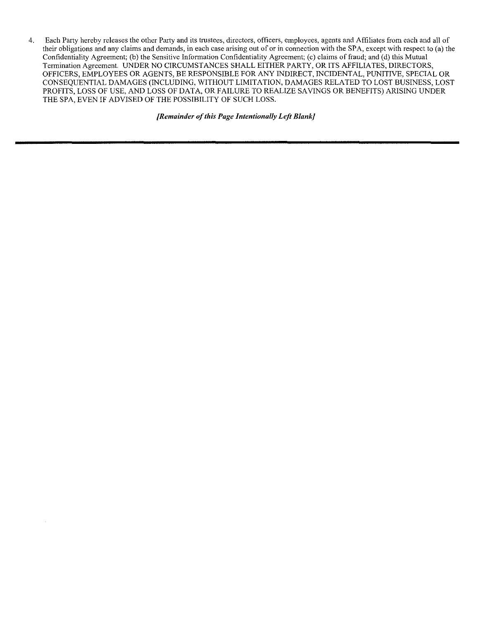**4. Each Party hereby releases the other Party and its trustees, directors, officers, employees, agents and Affiliates from each and all of their obligations and any claims and demands, in each case arising out of or in connection with the SPA, except with respect to (a) the**  Confidentiality Agreement; (b) the Sensitive Information Confidentiality Agreement; (e) claims of fraud; and (d) this Mutual Termination Agreement. UNDER NO CIRCUMSTANCES SHALL EITHER PARTY, OR ITS AFFILIATES, DIRECTORS, OFFICERS, EMPLOYEES OR AGENTS, BE RESPONSIBLE FOR ANY INDIRECT, INCIDENTAL, PUNITIVE, SPECIAL OR CONSEQUENTIAL DAMAGES (INCLUDING, WITHOUT LIMITATION, DAMAGES RELATED TO LOST BUSINESS, LOST PROFITS, LOSS OF USE, AND LOSS OF DATA, OR FAILURE TO REALIZE SAVINGS OR BENEFITS) ARISING UNDER THE SPA, EVEN IF ADVISED OF THE POSSIBILITY OF SUCH LOSS.

*[Remainder ofthis Page Intentionally Left Blank]*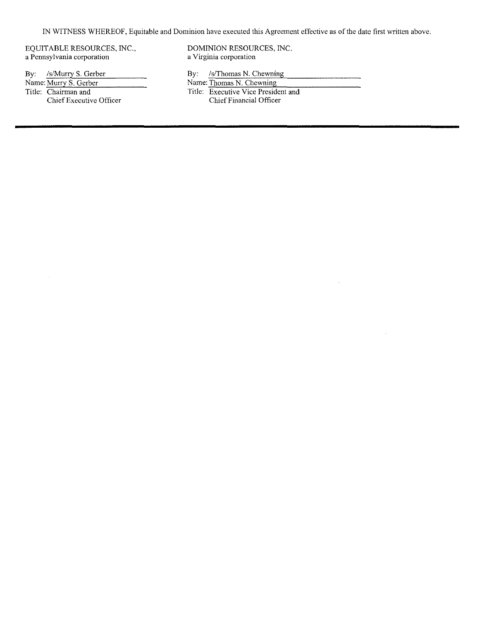IN WITNESS WHEREOF, Equitable and Dominion have executed this Agreement effective as of the date first written above.

a Pennsylvania corporation

By: *IslNurry S. Gerber* By: *IslThomas N. Chewning*<br>Name: *Murry S. Gerber* By: *IslThomas N. Chewning* Name: Murry S. Gerber Name: Thomas N, Chewning<br>Title: Chairman and Title: Executive Vice Preside Chief Executive Officer

 $\hat{\boldsymbol{\gamma}}$ 

EQUITABLE RESOURCES, INC.,<br>
a Pennsylvania corporation<br>
a Virginia corporation<br>
a Virginia corporation

Title: Executive Vice President and Chief Financial Officer

 $\sim$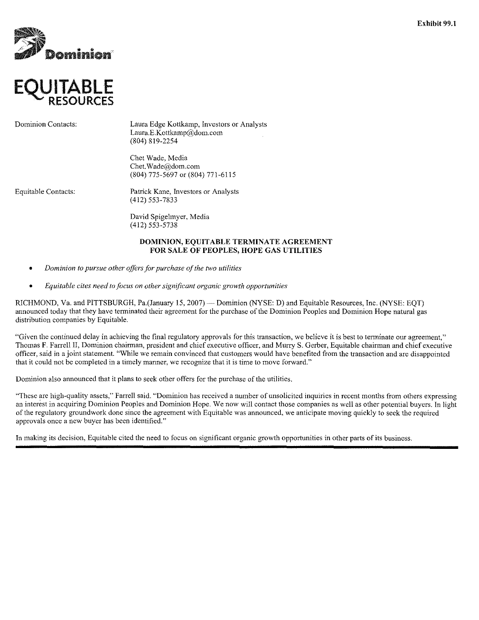



Dominion Contacts: Laura Edge Kottkamp, Investors or Analysts Laura.E.Kottkamp@dom.com (804) 819-2254

> Chet Wade, Media Chet. Wade@dom.com (804) 775-5697 or (804) 771-6115

Equitahle Contacts: Patrick Kane, Investors or Analysts (412) 553-7833

> David Spigelmyer, Media (412) 553-5738

#### DOMINION, EQUITABLE TERMINATE AGREEMENT FOR SALE OF PEOPLES, HOPE GAS UTILITIES

- *Dominion to pursue other offers for purchase a/the two utilities*
- *Equitable cites need to focus on other significant organic growth opportunities*

RICHMOND, Va. and PITTSBURGH, Pa.(January 15, 2007) - Dominion (NYSE: D) and Equitable Resources, Inc. (NYSE: EQT) announced today that they have terminated their agreement for the purchase ofthe Dominion Peoples and Dominion Hope natural gas distribution companies by Equitable.

"Given the continued delay in achieving the final regulatory approvals for this transaction, we believe it is best to terminate our agreement," Thomas F. Farrell II, Dominion chairman, president and chief executive officer, and Murry S. Gerber, Equitable chairman and chief executive officer, said in a joint statement. "While we remain convinced that customers would have benefited from the transaction and are disappointed that it could not be completed in a timely manner, we recognize that it is time to move forward."

Dominion also announced that it plans to seek other offers for the purchase ofthe utilities.

"These are high-quality assets," Farrell said. "Dominion has received a number of unsolicited inquiries in recent months from others expressing an interest in acquiring Dominion Peoples and Dominion Hope. We now will contact those companies as well as other potential buyers. In light of the regulatory groundwork done since the agreement with Equitable was announced, we anticipate moving quickly to seek the required approvals once a new buyer has been identified."

In making its decision, Equitable cited the need to focus on significant organic growth opportunities in other parts of its business.